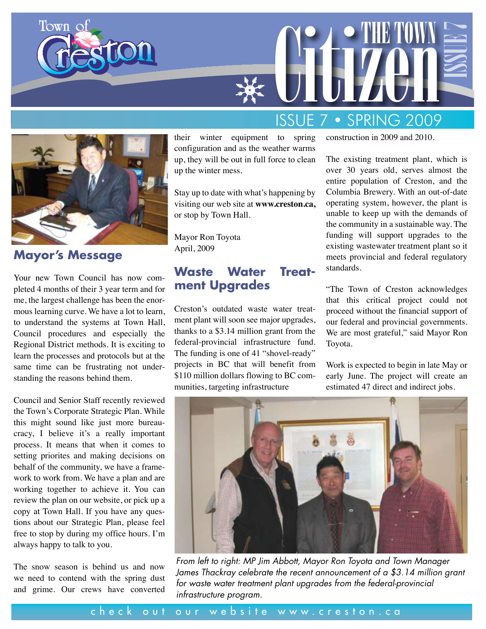

**Mayor's Message** 

Town of

Your new Town Council has now completed 4 months of their 3 year term and for me, the largest challenge has been the enormous learning curve. We have a lot to learn, to understand the systems at Town Hall, Council procedures and especially the Regional District methods. It is exciting to learn the processes and protocols but at the same time can be frustrating not understanding the reasons behind them.

Council and Senior Staff recently reviewed the Town's Corporate Strategic Plan. While this might sound like just more bureaucracy, I believe it's a really important process. It means that when it comes to setting priorites and making decisions on behalf of the community, we have a framework to work from. We have a plan and are working together to achieve it. You can review the plan on our website, or pick up a copy at Town Hall. If you have any questions about our Strategic Plan, please feel free to stop by during my office hours. I'm always happy to talk to you.

The snow season is behind us and now we need to contend with the spring dust and grime. Our crews have converted

their winter equipment to spring configuration and as the weather warms up, they will be out in full force to clean up the winter mess.

Stay up to date with what's happening by visiting our web site at **www.creston.ca,** or stop by Town Hall.

Mayor Ron Toyota April, 2009

#### **Waste Water Treatment Upgrades**

Creston's outdated waste water treatment plant will soon see major upgrades, thanks to a \$3.14 million grant from the federal-provincial infrastructure fund. The funding is one of 41 "shovel-ready" projects in BC that will benefit from \$110 million dollars flowing to BC communities, targeting infrastructure

# CITIZEN TOWN ISSUE 7 • SPRING 2009

construction in 2009 and 2010.

The existing treatment plant, which is over 30 years old, serves almost the entire population of Creston, and the Columbia Brewery. With an out-of-date operating system, however, the plant is unable to keep up with the demands of the community in a sustainable way. The funding will support upgrades to the existing wastewater treatment plant so it meets provincial and federal regulatory standards.

ISSUE 7

"The Town of Creston acknowledges that this critical project could not proceed without the financial support of our federal and provincial governments. We are most grateful," said Mayor Ron Toyota.

Work is expected to begin in late May or early June. The project will create an estimated 47 direct and indirect jobs.



*From left to right: MP Jim Abbott, Mayor Ron Toyota and Town Manager James Thackray celebrate the recent announcement of a \$3.14 million grant for waste water treatment plant upgrades from the federal-provincial infrastructure program.*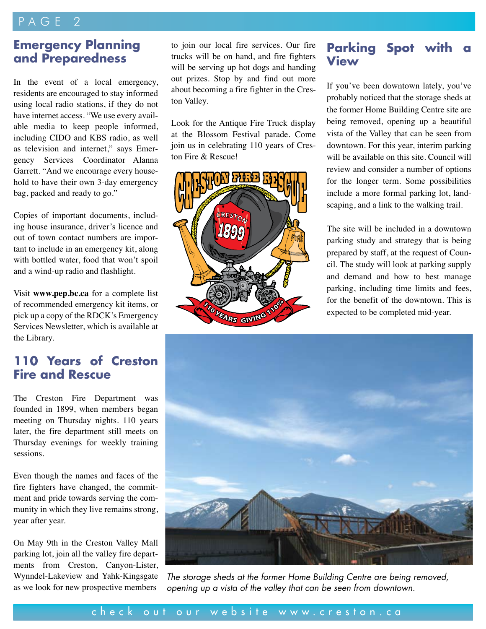#### PAGE 2

#### **Emergency Planning and Preparedness**

In the event of a local emergency, residents are encouraged to stay informed using local radio stations, if they do not have internet access. "We use every available media to keep people informed, including CIDO and KBS radio, as well as television and internet," says Emergency Services Coordinator Alanna Garrett. "And we encourage every household to have their own 3-day emergency bag, packed and ready to go."

Copies of important documents, including house insurance, driver's licence and out of town contact numbers are important to include in an emergency kit, along with bottled water, food that won't spoil and a wind-up radio and flashlight.

Visit **www.pep.bc.ca** for a complete list of recommended emergency kit items, or pick up a copy of the RDCK's Emergency Services Newsletter, which is available at the Library.

#### **110 Years of Creston Fire and Rescue**

The Creston Fire Department was founded in 1899, when members began meeting on Thursday nights. 110 years later, the fire department still meets on Thursday evenings for weekly training sessions.

Even though the names and faces of the fire fighters have changed, the commitment and pride towards serving the community in which they live remains strong, year after year.

On May 9th in the Creston Valley Mall parking lot, join all the valley fire departments from Creston, Canyon-Lister, Wynndel-Lakeview and Yahk-Kingsgate as we look for new prospective members

to join our local fire services. Our fire trucks will be on hand, and fire fighters will be serving up hot dogs and handing out prizes. Stop by and find out more about becoming a fire fighter in the Creston Valley.

Look for the Antique Fire Truck display at the Blossom Festival parade. Come join us in celebrating 110 years of Creston Fire & Rescue!



#### **Parking Spot with View**

If you've been downtown lately, you've probably noticed that the storage sheds at the former Home Building Centre site are being removed, opening up a beautiful vista of the Valley that can be seen from downtown. For this year, interim parking will be available on this site. Council will review and consider a number of options for the longer term. Some possibilities include a more formal parking lot, landscaping, and a link to the walking trail.

The site will be included in a downtown parking study and strategy that is being prepared by staff, at the request of Council. The study will look at parking supply and demand and how to best manage parking, including time limits and fees, for the benefit of the downtown. This is expected to be completed mid-year.



*The storage sheds at the former Home Building Centre are being removed, opening up a vista of the valley that can be seen from downtown.*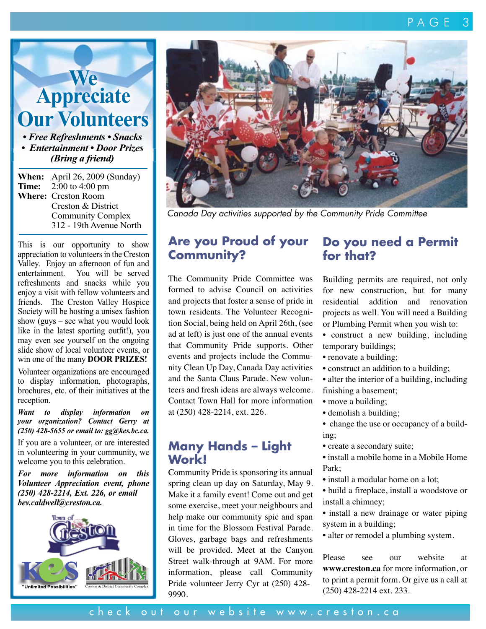**Appreciate Our Volunteers** *• Free Refreshments • Snacks • Entertainment • Door Prizes*

**We**

*(Bring a friend)*

**When:** April 26, 2009 (Sunday) **Time:** 2:00 to 4:00 pm **Where:** Creston Room Creston & District Community Complex 312 - 19th Avenue North

This is our opportunity to show appreciation to volunteers in the Creston Valley. Enjoy an afternoon of fun and entertainment. You will be served refreshments and snacks while you enjoy a visit with fellow volunteers and friends. The Creston Valley Hospice Society will be hosting a unisex fashion show (guys – see what you would look like in the latest sporting outfit!), you may even see yourself on the ongoing slide show of local volunteer events, or win one of the many **DOOR PRIZES!**

Volunteer organizations are encouraged to display information, photographs, brochures, etc. of their initiatives at the reception.

*Want to display information on your organization? Contact Gerry at (250) 428-5655 or email to: gg@kes.bc.ca.*

If you are a volunteer, or are interested in volunteering in your community, we welcome you to this celebration.

*For more information on this Volunteer Appreciation event, phone (250) 428-2214, Ext. 226, or email bev.caldwell@creston.ca.*





*Canada Day activities supported by the Community Pride Committee*

#### **Are you Proud of your Community?**

The Community Pride Committee was formed to advise Council on activities and projects that foster a sense of pride in town residents. The Volunteer Recognition Social, being held on April 26th, (see ad at left) is just one of the annual events that Community Pride supports. Other events and projects include the Community Clean Up Day, Canada Day activities and the Santa Claus Parade. New volunteers and fresh ideas are always welcome. Contact Town Hall for more information at (250) 428-2214, ext. 226.

#### **Many Hands – Light Work!**

Community Pride is sponsoring its annual spring clean up day on Saturday, May 9. Make it a family event! Come out and get some exercise, meet your neighbours and help make our community spic and span in time for the Blossom Festival Parade. Gloves, garbage bags and refreshments will be provided. Meet at the Canyon Street walk-through at 9AM. For more information, please call Community Pride volunteer Jerry Cyr at (250) 428- 9990.

#### **Do you need a Permit for that?**

Building permits are required, not only for new construction, but for many residential addition and renovation projects as well. You will need a Building or Plumbing Permit when you wish to:

- construct a new building, including temporary buildings;
- renovate a building;
- construct an addition to a building;
- alter the interior of a building, including
- finishing a basement;
- move a building;
- demolish a building;
- change the use or occupancy of a building;
- create a secondary suite;
- install a mobile home in a Mobile Home Park;
- install a modular home on a lot;
- build a fireplace, install a woodstove or install a chimney;
- install a new drainage or water piping system in a building;
- alter or remodel a plumbing system.

Please see our website at **www.creston.ca** for more information, or to print a permit form. Or give us a call at (250) 428-2214 ext. 233.